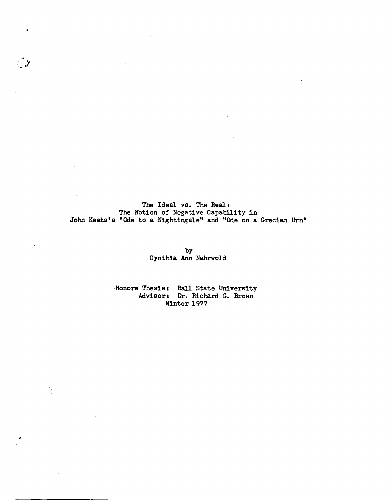The Ideal vs. The Real: The Notion of Negative Capability in John Keats's "Ode to a Nightingale" and "Ode on a Grecian Urn"

 $\langle \rangle$ 

by Cynthia Ann Nahrwold

Honors Thesis: Ball State University Advisors Dr. Richard G. Brown Winter 1977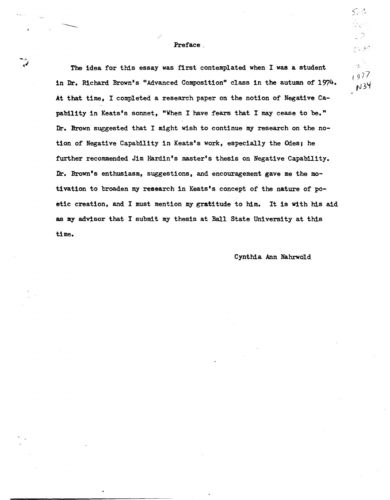## Preface.

The idea for this essay was first contemplated when I was a student in Dr. Richard Brown's "Advanced Composition" class in the autumn of 1974. At that time, I completed a research paper on the notion of Negative Capabllity in Keats's sonnet, "When I have fears that I may cease to be." Dr. Brown suggested that I might wish to continue my research on the notion of Negative Capability in Keats's work, especially the Odes, he further recommended Jim Hardin's master's thesis on Negative Capability. Dr. Brown's enthusiasm, suggestions, and encouragement gave me the motivation to broaden my research in Keats's concept of the nature of poetic creation, and I must mention my gratitude to him. It is with his aid as my advisor that I submit my thesis at Ball State University at this time.

Cynthia Ann Nahrwold

 $\mathcal{S}_i$  :  $\mathcal{C}_i$ 

0 ج را ح<br>مار

出し  $1977$  $N34$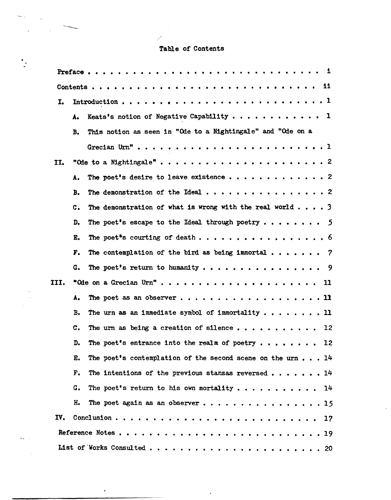# Table of Contents

/

| I.   |                |                                                                     |
|------|----------------|---------------------------------------------------------------------|
|      | λ.             | Keats's notion of Negative Capability 1                             |
|      | в.             | This notion as seen in "Ode to a Nightingale" and "Ode on a         |
|      |                |                                                                     |
| II.  |                |                                                                     |
|      | Α.             |                                                                     |
|      | <b>B.</b>      |                                                                     |
|      | C.             | The demonstration of what is wrong with the real world 3            |
|      | D.             | The poet's escape to the Ideal through poetry $\ldots \ldots$       |
|      | Е.             | The poet <sup>e</sup> s courting of death 6                         |
|      | F.             | The contemplation of the bird as being immortal $\ldots \ldots$ ?   |
|      | G.             | The poet's return to humanity 9                                     |
| III. |                | "Ode on a Grecian Urn" 11                                           |
|      | Α.             | The poet as an observer 11                                          |
|      | в.             | The urn as an immediate symbol of immortality $\dots \dots \dots$   |
|      | $\mathbf{c}$ . | The urn as being a creation of silence<br>12                        |
|      | D.             | The poet's entrance into the realm of poetry 12                     |
|      | E.             | The poet's contemplation of the second scene on the urn $\ldots$ 14 |
|      | F.             | The intentions of the previous stanzas reversed $\ldots$ ,  14      |
|      | G.             | The poet's return to his own mortality 14                           |
|      | н.             | The poet again as an observer15                                     |
| IV.  |                |                                                                     |
|      |                |                                                                     |
|      |                |                                                                     |

 $\mathbf{r}$ 

.

 $\ddot{\phantom{0}}$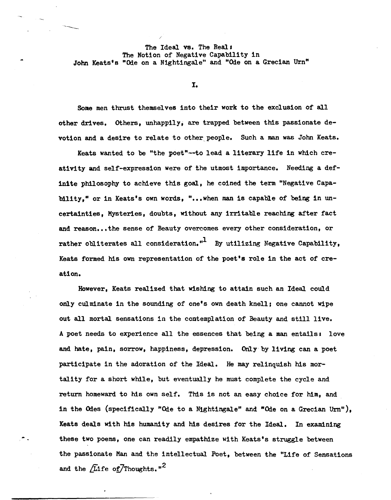## The Ideal vs. The Real: The Notion of Negative Capability in John Keats's "Ode on a Nightingale" and "Ode on a Grecian Urn"

/

I.

Some men thrust themselves into their work to the exclusion of all other drives. others, unhappily; are trapped between this passionate devotion and a desire to relate to other people. Such a man was John Keats.

Keats wanted to be "the poet"--to lead a literary life in which creativity and self-expression were of the utmost importance. Needing a definite philosophy to achieve this goal, he coined the term "Negative Capability," or in Keats's own words, "... when man is capable of being in uncertainties, Mysteries, doubts, without any irritable reaching after fact and reason... the sense of Beauty overcomes every other consideration, or rather obliterates all consideration."<sup>1</sup> By utilizing Negative Capability, Keats formed his own representation of the poet's role in the act of creation.

However, Keats realized that wishing to attain such an Ideal could only culminate in the sounding of one's own death knell; one cannot wipe out all mortal sensations in the contemplation of Beauty and still live. A poet needs to experience all the essences that being a man entails: love and hate, pain, sorrow, happiness, depression. Only by living can a poet participate in the adoration of the Ideal. He may relinquish his mortality for a short while, but eventually he must complete the cycle and return homeward to his own self. This is not an easy choice for him, and in the Odes (specifically "Ode to a Nightingale" and "Ode on a Grecian Urn"), Keats deals with his humanity and his desires for the Ideal. In examining these two poems, one can readily empathize with Keats's struggle between the passionate Man and the intellectual Poet, between the "Life of Sensations and the  $/L$ ife of Thoughts."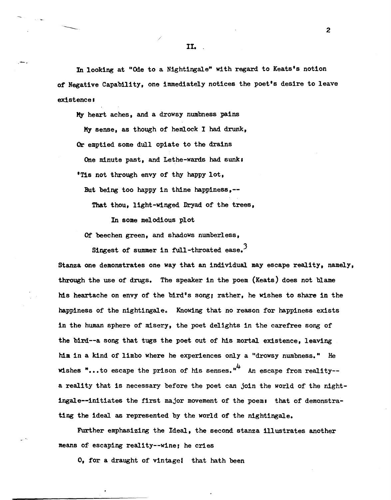In looking at "Ode to a Nightingale" with regard to Keats's notion of Negative Capability, one immediately notices the poet's desire to leave existence:

My heart aches, and a drowsy numbness pains My sense, as though of hemlock I had drunk,

/

Or emptied some dull opiate to the drains

,-.

One minute past, and Lethe-wards had sunk:

'Tis not through envy of thy happy lot,

But being too happy in thine happiness,--

That thou, light-winged Dryad of the trees,

In some melodious plot

Of beechen green, and shadows numberless,

Singest of summer in full-throated ease.<sup>3</sup>

Stanza one demonstrates one way that an individual may escape reality, namely, through the use of' drugs. The speaker in the poem (Keats) does not blame his heartache on envy of' the bird°s song; rather, he Wishes to share in the happiness of the nightingale. Knowing that no reason for happiness exists in the human sphere of misery, the poet delights in the carefree song of the bird--a song that tugs the poet out of his mortal existence, leaving him in a kind of limbo where he experiences only a "drowsy numbness." He wishes "...to escape the prison of his senses."<sup>4</sup> An escape from reality-a reality that is necessary before the poet can join the world of the nightingale--initiates the first major movement of the poem: that of demonstrating the ideal as represented by the world of the nightingale.

Further emphasizing the Ideal, the second stanza illustrates another means of escaping reality--wine; he cries

0, for a draught of vintage! that hath been

II. '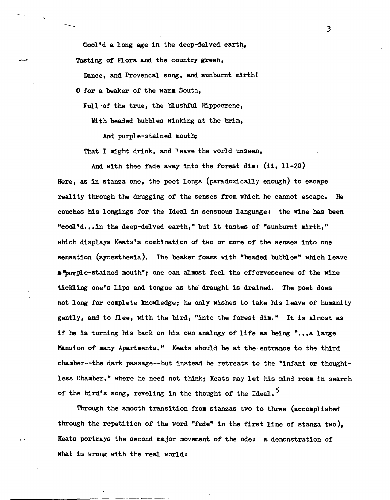Cool'd a long age in the deep-delved earth, Tasting of Flora and the country green,

Dance, and Provencal song, and sunburnt mirthl o for a beaker of the warm South,

Full of the true, the blushful Hippocrene,

With beaded bubbles winking at the brim,

And purple-stained mouth,

That I might drink, and leave the world unseen,

And with thee fade away into the forest dim: (ii, 11-20)

Here, as in stanza one, the poet longs (paradoxically enough) to escape reality through the drugging of the senses from which he cannot escape. He couches his longings for the Ideal in sensuous language. the wine has been "cool'd...in the deep-delved earth," but it tastes of "sunburnt mirth," which displays Keats's combination of two or more of the senses into one sensation (synesthesia). The beaker foams with "beaded bubbles" which leave a "purple-stained mouth"; one can almost feel the effervescence of the wine tickling one's lips and tongue as the draught is drained. The poet does not long for complete knowledge; he only Wishes to take his leave of humanity gently, and to flee, with the bird, "into the forest dim." It is almost as if he is turning his back on his own analogy of life as being "...a large Mansion of many Apartments." Keats should be at the entrance to the third chamber--the dark passage--but instead he retreats to the "infant or thoughtless Chamber," where he need not think; Keats may let his mind roam in search of the bird's song, reveling in the thought of the Ideal.<sup> $5$ </sup>

Through the smooth transition from stanzas two to three (accomplished through the repetition of the word "fade" in the first line of stanza two), Keats portrays the second major movement of the ode: a demonstration of what is wrong with the real world: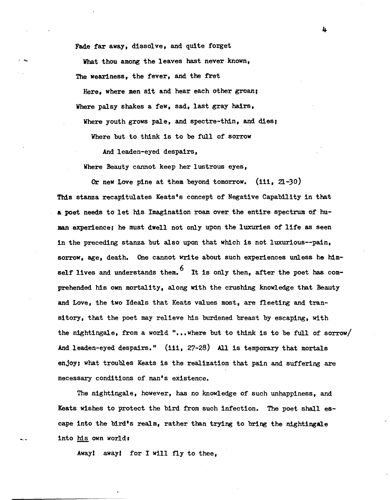Fade far away, dissolve, and quite forget

What thou among the leaves hast never known, The weariness, the fever, and the fret

Here, where men sit and hear each other groan; Where palsy shakes a few, sad, last gray hairs,

Where youth grows pale, and spectre-thin, and dies;

Where but to think is to be full of sorrow

And leaden-eyed despairs,

Where Beauty cannot keep her lustrous eyes,

Or new Love pine at them beyond tomorrow.  $(iii, 21-30)$ This stanza recapitulates Keats's concept of Negative Capability in that a poet needs to let his Imagination roam over the entire spectrum of human experience; he must dwell not only upon the luxuries of life as seen in the preceding stanza but also upon that which is not luxurious--pain, sorrow, age, death. One cannot write about such experiences unless he himself lives and understands them.  $6\,$  It is only then. after the poet has comprehended his own mortality, along With the crushing knowledge that Beauty and Love, the two Ideals that Keats values most, are fleeting and transitory, that the poet may relieve his burdened breast by escaping, With the nightingale, from a world "... where but to think is to be full of sorrow/ And leaden-eyed despairs." (iii, 27-28) All is temporary that mortals enjoy; what troubles Keats is the realization that pain and suffering are necessary conditions of man's existence.

The nightingale, however, has no knowledge of such unhappiness, and Keats Wishes to protect the bird from such infection. The poet shall escape into the bird's realm, rather than trying to bring the nightingale into his own world:

Away! away! for I will fly to thee,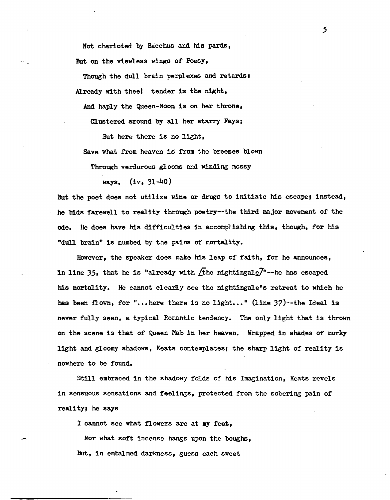Not charioted by Bacchus and his pards, But on the viewless wings of Poesy,

Though the dull brain perplexes and retards: Already with theel tender is the night,

And haply the Queen-Moon is on her throne,

Clustered around by all her starry Fays,

But here there is no light,

Save what from heaven is from the breezes blown

Through verdurous glooms and winding mossy

ways. (iv, 31-40)

But the poet does not utilize wine or drugs to initiate his escape; instead, he bids farewell to reality through poetry--the third major movement of the ode. He does have his difficulties in accomplishing this, though, for his "dull brain" is numbed by the pains of mortality.

However, the speaker does make his leap of faith, for he announces, in line 35, that he is "already with  $\sqrt{\text{the}}$  nightingale<sup>7</sup>"--he has escaped his mortality. He cannot clearly see the nightingale's retreat to which he has been flown, for "... here there is no light..." (line  $37$ )--the Ideal is never fully seen, a typical Romantic tendency. The only light that is thrown on the scene is that of Queen Mab in her heaven. Wrapped in shades of murky light and gloomy shadows, Keats contemplates; the sharp light of reality is nowhere to be found.

St11l embraced in the shadowy folds of his Imagination, Keats revels in sensuous sensations and feelings, protected from the sobering pain of reality, he says

I cannot see what flowers are at my feet,

Nor what soft incense hangs upon the boughs, But, in embalmed darkness, guess each sweet

.5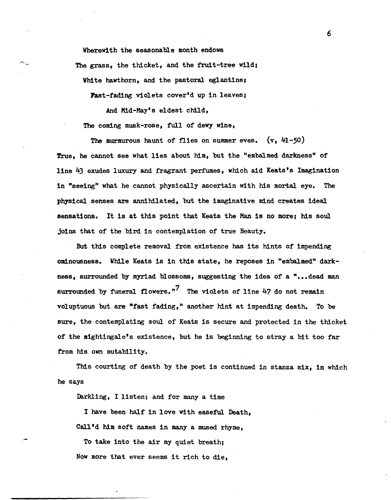Wherewith the seasonable month endows The grass, the thicket, and the fruit-tree wild;

White hawthorn, and the pastoral eglantine,

Fast-fading violets cover'd up in leaves;

And Mid-May's eldest child,

The coming musk-rose, full of dewy wine,

The murmurous haunt of flies on summer eves.  $(v, 41-50)$ True, he cannot see what lies about him, but the "embalmed darkness" of line 43 exudes luxury and fragrant perfumes, which aid Keats's Imagination in "seeing" what he cannot physically ascertain with his mortal eye. The physical senses are annihilated, but the imaginative mind creates ideal sensations. It is at this point that Keats the Man is no more; his soul joins that of the bird in contemplation of true Beauty.

But this complete removal from existence has its hints of impending ominousness. While Keats is in this state, he reposes in "embalmed" darkness. surrounded by myriad blossoms, suggesting the idea of a "... dead man surrounded by funeral flowers."<sup>7</sup> The violets of line  $47$  do not remain vol uptuous but are "fast fading," another hint at impending death. To be sure, the contemplating soul of Keats is secure and protected in the thicket of the aightingale's existence, but he is beginning to stray a bit too far from his own mutability.

This courting of death by the poet is continued in stanza six, in which he says

Iarkling, I listen; and for many a time

I have been half in love with easeful. Death, Call'd him soft names in many a mused rhyme.

To take into the air my quiet breath; Now more that ever seems it rich to die,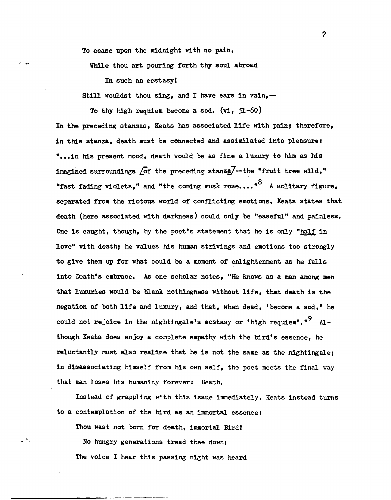To cease upon the midnight with no pain,

While thou art pouring forth thy soul abroad

In such an ecstasyl

Still wouldst thou sing, and I have ears in vain, --

To thy high requiem become a sod.  $(vi, 51-60)$ 

In the preceding stanzas, Keats has associated life with pain; therefore, in this stanza, death must be connected and assimilated into pleasure. "... in his present mood, death would be as fine a luxury to him as his imagined surroundings  $\sqrt{\text{of}}$  the preceding stanza $\sqrt{7}$ --the "fruit tree wild," "fast fading violets," and "the coming musk rose...."  $8$  A solitary figure, separated from the riotous world of conflicting emotions, Keats states that death (here associated with darkness) could only be "easeful" and painless. One is caught, though, by the poet's statement that he is only "half in love" with death; he values his human strivings and emotions too strongly to give them up for what could be a moment of enlightenment as he falls into Death's embrace. As one scholar notes, "He knows as a man among men that luxuries would be blank nothingness without life, that death is the negation of both life and luxury, and that, when dead, 'become a sod,' he could not rejoice in the nightingale's ecstasy or 'high requiem'." $9$  Although Keats does enjoy a complete empathy with the bird's essence. he reluctantly must also realize that he is not the same as the nightingale; in disassociating himself from his own self, the poet meets the final way that man loses his humanity forever: Death.

Instead of grappling with this issue immediately, Keats instead turns to a contemplation of the bird as an immortal essence:

Thou wast not born for death, immortal Bird'

No hungry generations tread thee down; The voice I hear this passing night was heard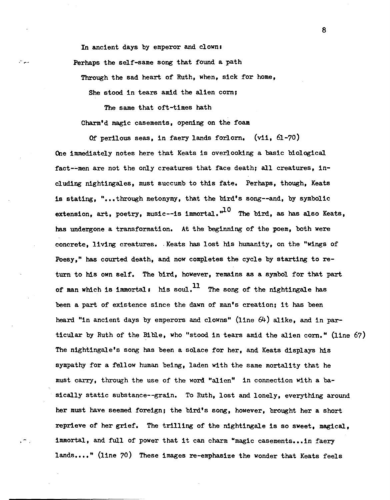In ancient days by emperor and clown: Perhaps the self-same song that found a path

Through the sad heart of Ruth, when, sick for home,

She stood in tears amid the alien corn;

The same that oft-times hath Charm'd magic casements, opening on the foam

Of perilous seas, in faery lands forlorn. (vii, 61-70) One immediately notes here that Keats is overlooking a basic biological fact-~men are not the only creatures that face death; all creatures, inc1uding nightingales, must succumb to this fate. Perhaps, though, Keats is stating, "...through metonymy, that the bird's song--and, by symbolic extension, art, poetry, music--is immortal,  $10$  The bird, as has also Keats, has undergone a transformation. At the beginning of the poem, both were concrete. living creatures. Keats has lost his humanity, on the "wings of Poesy," has courted death, and now completes the cycle by starting to return to his own self. The bird, however, remains as a symbol for that part of man which is immortal: his soul.<sup>11</sup> The song of the nightingale has been a part of existence since the dawn of man's creation; it has been heard "in ancient days by emperors and clowns" (line 64) alike, and in particular by Ruth of the Bible, who "stood in tears amid the alien corn." (line 67) The nightingale's song has been a solace for her, and Keats displays his sympathy for a fellow human being, laden with the same mortality that he must carry, through the use of the word "alien" in connection with a basically static substance--grain. To Ruth, lost and lonely, everything around her must have seemed foreign; the bird's song, however, brought her a short reprieve of her grief. The trilling of the nightingale is so sweet, magical, immortal, and full of power that it can charm "magic casements... in faery lands...." (line 70) These images re-emphasize the wonder that Keats feels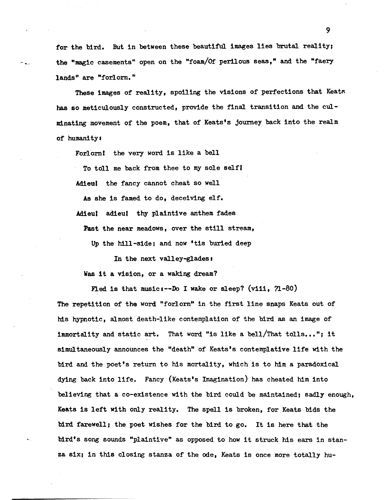for the bird. But in between these beautiful images lies brutal reality; the "magic casements" open on the "foam/Of perilous seas," and the "faery lands" are "forlorn."

These images of reality, spoiling the visions of perfections that Keats has so meticulously constructed, provide the final transition and the culminating movement of the poem, that of Keats's journey back into the realm of humanity:

Forlornl the very word is like a bell

To toll me back from thee to my sole self!

Adieu! the fancy cannot cheat so well

As she is famed to do, deceiving elf.

Adieul adieul thy plaintive anthem fades

Past the near meadows, over the still stream,

Up the hill-side; and now 'tis buried deep

In the next valley-glades:

Was it a vision, or a waking dream?

Fled is that music: $-$ -Do I wake or sleep? (viii,  $71-80$ )

The repetition of the word "forlorn" in the first line snaps Keats out of his hypnotic, almost death-like contemplation of the bird as an image of immortality and static art. That word "is like a bell/That tolls..."; it simultaneously announces the "death" of Keats's contemplative life with the bird and the poet's return to his mortality, which is to him a paradoxical dying back into life. Fancy (Keats's Imagination) has cheated him into believing that a co-existence with the bird could be maintained; sadly enough, Keats is left With only reality. The spell is broken, for Keats bids the bird farewell; the poet wishes for the bird to go. It is here that the bird's song sounds "plaintive" as opposed to how it struck his ears in stanza six; in this closing stanza of the ode, Keats is once more totally hu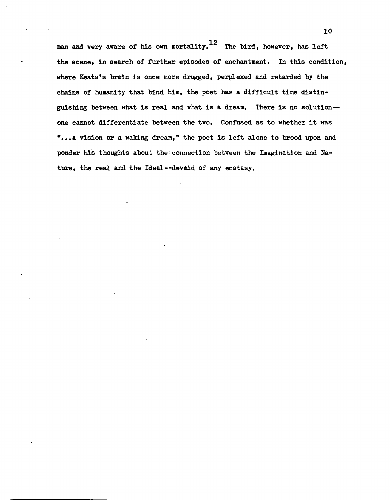man and very aware of his own mortality.<sup>12</sup> The bird, however, has left the scene, in search of further episodes of enchantment. In this condition, where Keats's brain is once more drugged, perplexed and retarded by the chains of humanity that bind him, the poet has a difficult time distinguishing between what is real and what is a dream. There is no so1ution- one cannot differentiate between the two. Confused as to whether it was "...a vision or a waking dream," the poet is left alone to brood upon and ponder his thoughts about the connection between the Imagination and Nature, the real and the Ideal--deveid of any ecstasy.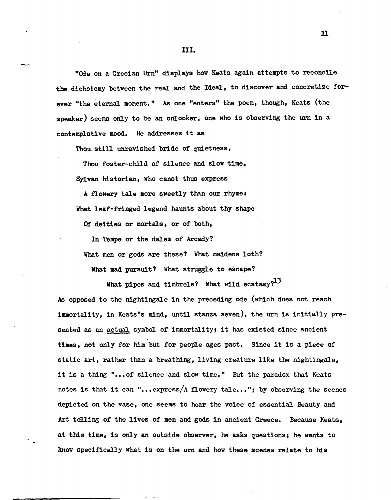"Ode on a Grecian Urn" displays how Keats again attempts to reconcile the dichotomy between the real and the Ideal, to discover and concretize forever "the eternal moment." *As* one "enters" the poem, though, Keats (the speaker) seems only to be an onlooker, one who is observing the urn in a contemplative mood. He addresses it as

Thou still unravished bride of quietness,

--

Thou foster-child of silence and slow time, 8yl van historian, who canst thus express

A flowery tale more sweetly than our rhyme. What leaf-fringed legend haunts about thy shape

or deities or mortals, or of both,

In Tempe or the dales of Arcady?

What men or gods are these? What maidens loth?

What mad pursuit? What struggle to escape?

What pipes and timbrels? What wild ecstasy? $^{13}$ 

*As* opposed to the nightingale in the preceding ode (which does not reach immortality, in Keats's mind, until stanza seven), the urn is initially presented as an actual symbol of immortality; it has existed since ancient times, not only for him but for people ages past. Since it is a piece of static art, rather than a breathing, living creature like the nightingale, it is a thing "... of silence and slow time." But the paradox that Keats notes is that it can "...express/A flowery tale..."; by observing the scenes depicted on the vase, one seems to hear the voice of essential Beauty and Art telling of the lives of men and gods in ancient Greece. Because Keats, at this time, is only an outside observer, he asks questions; he wants to know specifically what is on the urn and how these scenes relate to his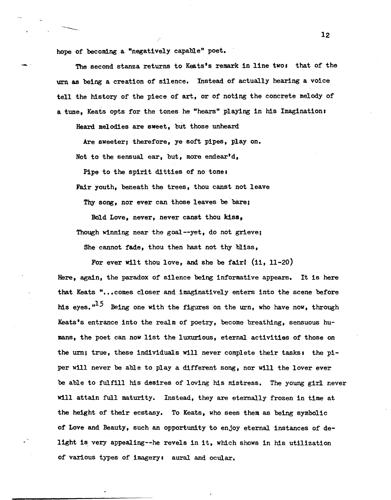hope of becoming a "negatively capable" poet.

.- .

The second stanza returns to Keats's remark in line two: that of the urn as being a creation of silence. Instead of actually hearing a voice tell the history of the piece of art, or of noting the concrete melody of a tune, Keats opts for the tones he "hears" playing in his Imagination:

Heard melodies are sweet, but those unheard

Are sweeter; therefore, ye soft pipes, play on. Not to the sensual ear, but, more endear'd,

Pipe to the spirit ditties of no tone:

Fair youth, beneath the trees, thou canst not leave

Thy song, nor ever can those leaves be bare;

Bold Love, never, never canst thou kiss,

Though winning near the goal--yet, do not grieve;

She cannot fade, thou then hast not thy bliss,

For ever wilt thou love, and she be fairl (ii, 11-20)

Here, again, the paradox of Silence being informative appears. It is here that Keats "... comes closer and imaginatively enters into the scene before his eyes.<sup> $15$ </sup> Being one with the figures on the urn, who have now, through Keats's entrance into the realm of poetry, become breathing, sensuous humans, the poet can now list the luxurious, eternal activities of those on the urn; true, these individuals will never complete their tasks: the piper will never be able to play a different song, nor will the lover ever be able to fulfill his desires of loving his mistress. The young girl never will attain full maturity. Instead, they are eternally frozen in time at the height of their ecstasy. To Keats, who sees them as being symbolic of Love and Beauty, such an opportunity to enjoy eternal instances of' delight is very appealing--he revels in it, which shows in his utilization of various types of imagery: aural and ocular.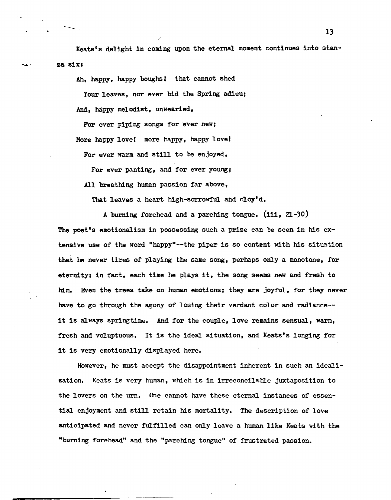Keats's delight in coming upon the eternal moment continues into stanza six:

Ah, happy, happy boughs! that cannot shed

Your leaves, nor ever bid the Spring adieu;

And, happy melodist, unwearied,

For ever piping songs for ever new; More happy lovel more happy. happy lovel For ever warm and still to be enjoyed,

For ever panting, and for ever young;

All breathing human passion far above,

That leaves a heart high-sorrowful and cloy'd,

A burning forehead and a parching tongue. (iii, 21-30) The poet's emotionalism in possessing such a prize can be seen in his extensive use of the word "happy"--the piper is so content with his situation that he never tires of playing the same song, perhaps only a monotone, for eternity; in fact, each time he plays it, the song seems new and fresh to him. Even the trees take on human emotions; they are joyful, for they never have to go through the agony of losing their verdant color and radiance- it is always springtime. And for the couple, love remains sensual, warm, fresh and voluptuous. It is the ideal Situation, and Keats's longing for it is very emotionally displayed here.

However, he must accept the disappointment inherent in such an idealisation. Keats is very human, which is in irreconcilable juxtaposition to the lovers on the urn. One cannot have these eternal instances of essential enjoyment and still retain his mortality. The description of love anticipated and never fulfilled can only leave a human like Keats with the "burning forehead" and the "parching tongue" of frustrated passion.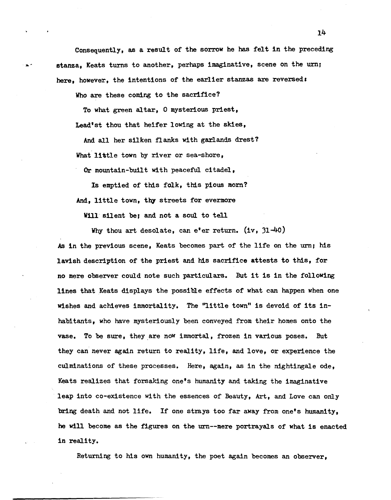Consequently, as a result of the sorrow he has felt in the preceding stanza, Keats turns to another, perhaps imaginative, scene on the urn; here, however, the intentions of the earlier stanzas are reversed:

Who are these coming to the sacrifice?

To what green altar, 0 mysterious priest, Lead'st thou that heifer lOwing at the skies,

And. all her silken flanks with garlands drest? What little town by river or sea-shore,

Or mountain-built with peaceful citadel,

Is emptied of this folk, this pious morn? And, little town, thy streets for evermore

Will silent be; and not a soul to tell

Why thou art desolate, can e'er return. (iv, 31-40)

As in the previous scene, Keats becomes part of the life on the urn; his lavish description of the priest and his sacrifice attests to thiS, for no mere observer could note such particulars. But it is in the following lines that Keats displays the possible effects of what can happen when one wishes and achieves immortality. The "little town" is devoid of its inhabitants, who have mysteriously been conveyed from their homes onto the vase. To be sure, they are now immortal, frozen in various poses. But they can never again return to reality, life. and love, or experience the culminations of these processes. Here, again, as in the nightingale ode, Keats realizes that forsaking one's humanity and taking the imaginative leap into co-existence with the essences of Beauty, Art, and Love can only bring death and not life. If one strays too far away from one's humanity, he will become as the figures on the urn--mere portrayals of what is enacted in reality.

Returning to his own humanity, the poet again becomes an observer,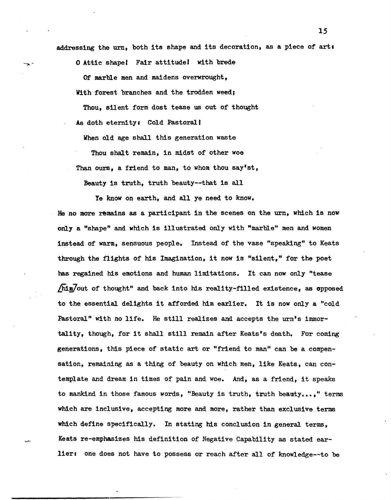addressing the urn, both its shape and its decoration, as a piece of arts

o Attic shape' Fair attitude! with brede

 $\rightarrow$ 

........

Of marble men and maidens overwrought, With forest branches and the trodden weed;

Thou, silent form dost tease us out of thought As doth eternity: Cold Pastoral!

When old age shall this generation waste

Thou shalt remain, in midst of other woe Than ours, a friend to man, to whom thou say'st,

Beauty is truth, truth beauty--that is all

Ye know on earth, and all ye need to know.

He no more remains as a participant in the scenes on the urn, which is now only a "shape" and which is illustrated only with "marble" men and women instead of warm, sensuous people. Instead of the vase "speaking" to Keats through the flights of his Imagination, it now is "silent," for the poet has regained his emotions and human limitations. It can now only "tease /him/out of thought" and back into his reality-filled existence, as opposed to the essential delights it afforded him earlier. It is now only a "cold Pastoral" with no life. He still realizes and accepts the urn's immortality, though, for it shall still remain after Keats's death. For coming generations, this piece of static art or "friend to man" can be a compensation, remaining as a thing of beauty on which men, like Keats, can contemplate and dream in times of pain and woe. And, as a friend, it speaks to mankind in those famous words, "Beauty is truth, truth beauty...," terms which are inclusive, accepting more and more, rather than exclusive terms which define specifically. In stating his conclusion in general terms, Keats re-emphasizes his definition of Negative Capability as stated earlier: one does not have to possess or reach after all of knowledge--to be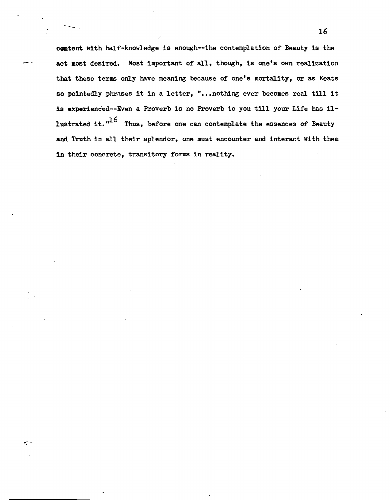content with half-knowledge is enough--the contemplation of Beauty is the act most desired. Most important of all, though, is one's own realization that these terms only have meaning because of one's mortality, or as Keats so pointedly phrases it in a letter, "...nothing ever becomes real till it is experienced--Even a Proverb is no Proverb to you till your Life has illustrated it. $"^{16}$  Thus, before one can contemplate the essences of Beauty and Truth in all their splendor, one must encounter and interact With them in their concrete, transitory forms in reality.

 $\sim$  16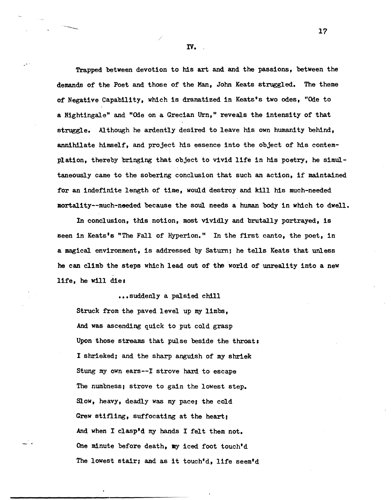Trapped between devotion to his art and and the passions, between the demands of the Poet and those of the Man, John Keats struggled. The theme of Negative Capability, which is dramatized in Keats's two odes, "Oie to a Nightingale" and "Ode on a Grecian Urn," reveals the intensity of that struggle. Although he ardently desired to leave his own humanity behind, annihilate himself, and project his essence into the object of his contemplation, thereby bringing that object to vivid life in his poetry, he simultaneously came to the sobering conclusion that such an action, if maintained for an indefinite length of time, would destroy and kill his much-needed mortality--much-needed because the soul needs a human body in which to dwell.

In conclusion, this notion, most vividly and brutally portrayed, is seen in Keats's "The Fall of Hyperion." In the first canto, the poet, in a magical environment, is addressed by Saturn; he tells Keats that unless he can climb the steps which lead out of the world of unreality into a new life, he will die:

• • • suddenly a palsied chill Struck from the paved level up my limbs, And was ascending quick to put cold grasp Upon those streams that pulse beside the throat: I shrieked; and the sharp anguish of my shriek Stung my own ears--I strove hard to escape The numbness; strove to gain the lowest step. Slow, heavy, deadly was my pace; the cold Grew stifling, suffocating at the heart; And when I clasp'd my hands I felt them not. One minute before death, my iced foot touch'd The lowest stair, and as it touch'd, life seem'd

IV •.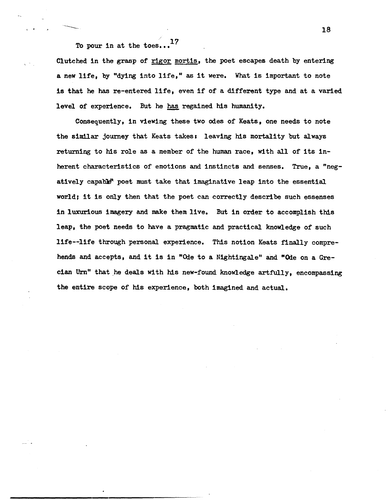To pour in at the toes... $^{17}$ 

< •

Clutched in the grasp of rigor mortis, the poet escapes death by entering a new life, by "dying into life." as it were. What is important to note is that he has re-entered life. even if of a different type and at a varied level of experience. But he has regained his humanity.

Consequently, in viewing these two odes of Keats, one needs to note the similar journey that Keats takes: leaving his mortality but always returning to his role as a member of the human race, with all of its inherent characteristics of emotions and instincts and senses. True, a "negatively capable<sup>n</sup> poet must take that imaginative leap into the essential world; it is only then that the poet can correctly describe such essenses in luxurious imagery and make them live. But in order to accomplish this leap, the poet needs to have a pragmatic and practical knowledge of such life--life through personal experience. This notion Keats finally comprehends and accepts, and it is in "Ode to a Nightingale" and "Ode on a Grecian Urn" that he deals with his new-found knowledge artfully, encompassing the entire scope of his experience, both imagined and actual.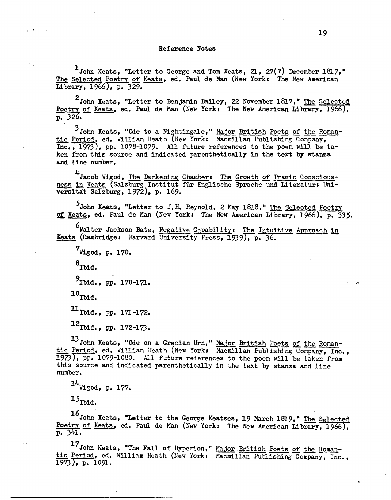### Reference Notes

 $1$ John Keats, "Letter to George and Tom Keats, 21, 27(?) December 1817," The Selected Poetry of Keats, ed. Paul de Man (New York: The New American Library, 1966), p. 329.

<sup>2</sup>John Keats, "Letter to Poetry of Keats, ed. Paul de  $p. 326.$ Benjamin Bailey, 22 November 1817," The Selected Man (New York: The New American Library, 1966),

<sup>3</sup> John Keats, "Ode to a Nightingale," Major British Poets of the Roman-<br>tic Period, ed. William Heath (New York: Macmillan Publishing Company, Inc., 1973), pp. 1078-1079. All future references to the poem will be taken from this source and indicated parenthetically in the text by stanza and line number.

4<br>"Jacob Wigod, <u>The Darkening Chamber</u>: The <u>Growth of Tragic Conscious</u>ness in Keats (Salzburg Institut für Englische Sprache und Literatur: Universitat Salzburg, 1972), p. 169.

5John Keats, "Letter to J.H. Reynold, 2 May 1818," The Selected Poetry of Keats, ed. Paul de Man (New York: The New American Library, 1966), p. 335.

 $6$  Walter Jackson Bate, <u>Negative Capability: The Intuitive Approach in</u> Keats (Cambridge: Harvard University Press, 1939), p. 36.

7 Wigod, p. 170.

 $8$ Ibid.

 $^{9}$ Ibid., pp. 170-171.

 $10$  Tbid.

 $11$ Ibid., pp. 171-172.

 $12$ Ibid., pp. 172-173.

13 John Keats, "Ode on a Grecian Urn," Major British Poets of the Romantic Period, ed. William Heath (New York, Macmillan Publishing Company, Inc., 1973), pp. 1079-1080. All future references to the poem will be taken from this source and indicated parenthetically in the text by stanza and line number.<br>

 $14$ Wigod, p. 177.

 $15<sub>Ibd.</sub>$ 

16 . . John Keats, "Letter to the George Keatses, 19 March 1819," The Selected Poetry of Keats, ed. Paul de Man (New York: The New American Library, 1966), p. 341.

<sup>17</sup> John Keats, "The Fall of Hyperion," Major British Poets of the Romantic Period, ed. William Heath (New York: Macmillan Publishing Company, Inc.,  $1973$ , p.  $1091$ .